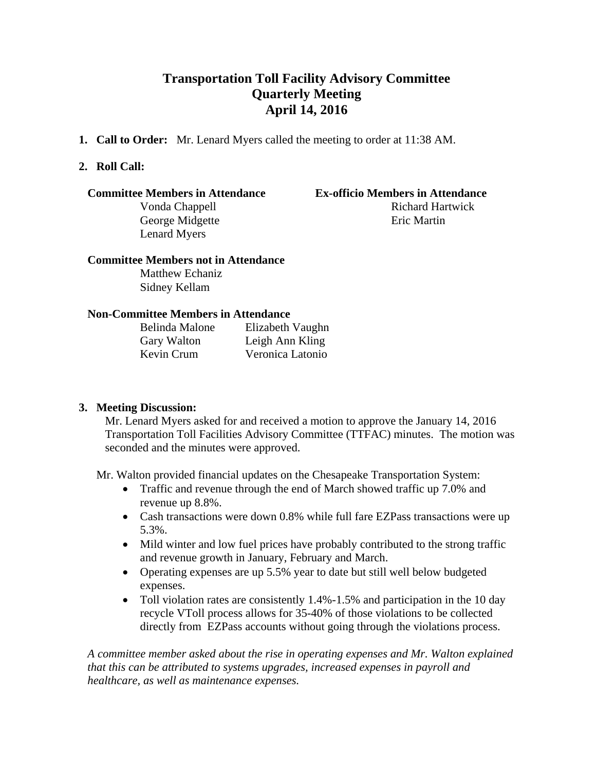# **Transportation Toll Facility Advisory Committee Quarterly Meeting April 14, 2016**

**1. Call to Order:** Mr. Lenard Myers called the meeting to order at 11:38 AM.

## **2. Roll Call:**

### **Committee Members in Attendance Ex-officio Members in Attendance**

George Midgette Eric Martin Lenard Myers

# Vonda Chappell **Richard Hartwick**

#### **Committee Members not in Attendance**

Matthew Echaniz Sidney Kellam

### **Non-Committee Members in Attendance**

| Belinda Malone | Elizabeth Vaughn |
|----------------|------------------|
| Gary Walton    | Leigh Ann Kling  |
| Kevin Crum     | Veronica Latonio |

### **3. Meeting Discussion:**

Mr. Lenard Myers asked for and received a motion to approve the January 14, 2016 Transportation Toll Facilities Advisory Committee (TTFAC) minutes. The motion was seconded and the minutes were approved.

Mr. Walton provided financial updates on the Chesapeake Transportation System:

- Traffic and revenue through the end of March showed traffic up 7.0% and revenue up 8.8%.
- Cash transactions were down 0.8% while full fare EZPass transactions were up 5.3%.
- Mild winter and low fuel prices have probably contributed to the strong traffic and revenue growth in January, February and March.
- Operating expenses are up 5.5% year to date but still well below budgeted expenses.
- Toll violation rates are consistently 1.4%-1.5% and participation in the 10 day recycle VToll process allows for 35-40% of those violations to be collected directly from EZPass accounts without going through the violations process.

*A committee member asked about the rise in operating expenses and Mr. Walton explained that this can be attributed to systems upgrades, increased expenses in payroll and healthcare, as well as maintenance expenses.*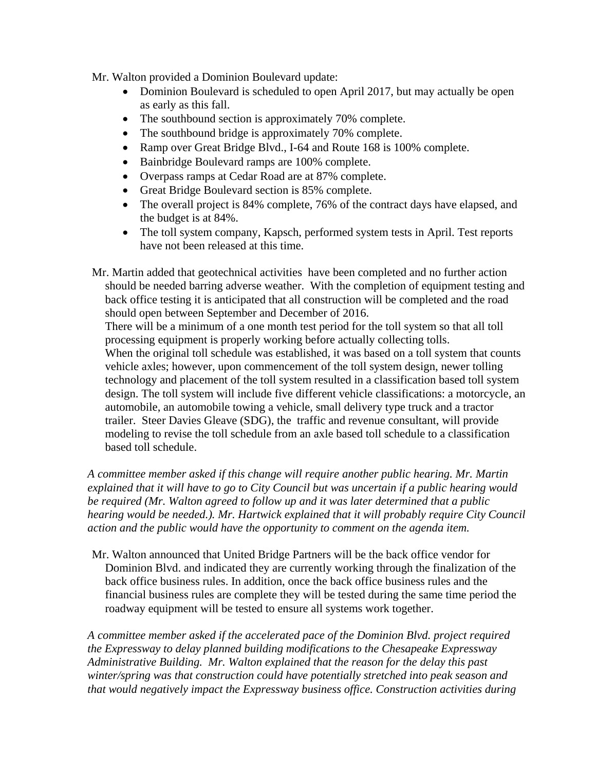Mr. Walton provided a Dominion Boulevard update:

- Dominion Boulevard is scheduled to open April 2017, but may actually be open as early as this fall.
- The southbound section is approximately 70% complete.
- The southbound bridge is approximately 70% complete.
- Ramp over Great Bridge Blvd., I-64 and Route 168 is 100% complete.
- Bainbridge Boulevard ramps are 100% complete.
- Overpass ramps at Cedar Road are at 87% complete.
- Great Bridge Boulevard section is 85% complete.
- The overall project is 84% complete, 76% of the contract days have elapsed, and the budget is at 84%.
- The toll system company, Kapsch, performed system tests in April. Test reports have not been released at this time.

Mr. Martin added that geotechnical activities have been completed and no further action should be needed barring adverse weather. With the completion of equipment testing and back office testing it is anticipated that all construction will be completed and the road should open between September and December of 2016.

There will be a minimum of a one month test period for the toll system so that all toll processing equipment is properly working before actually collecting tolls. When the original toll schedule was established, it was based on a toll system that counts vehicle axles; however, upon commencement of the toll system design, newer tolling technology and placement of the toll system resulted in a classification based toll system design. The toll system will include five different vehicle classifications: a motorcycle, an automobile, an automobile towing a vehicle, small delivery type truck and a tractor trailer. Steer Davies Gleave (SDG), the traffic and revenue consultant, will provide modeling to revise the toll schedule from an axle based toll schedule to a classification based toll schedule.

*A committee member asked if this change will require another public hearing. Mr. Martin explained that it will have to go to City Council but was uncertain if a public hearing would be required (Mr. Walton agreed to follow up and it was later determined that a public hearing would be needed.). Mr. Hartwick explained that it will probably require City Council action and the public would have the opportunity to comment on the agenda item.* 

Mr. Walton announced that United Bridge Partners will be the back office vendor for Dominion Blvd. and indicated they are currently working through the finalization of the back office business rules. In addition, once the back office business rules and the financial business rules are complete they will be tested during the same time period the roadway equipment will be tested to ensure all systems work together.

*A committee member asked if the accelerated pace of the Dominion Blvd. project required the Expressway to delay planned building modifications to the Chesapeake Expressway Administrative Building. Mr. Walton explained that the reason for the delay this past winter/spring was that construction could have potentially stretched into peak season and that would negatively impact the Expressway business office. Construction activities during*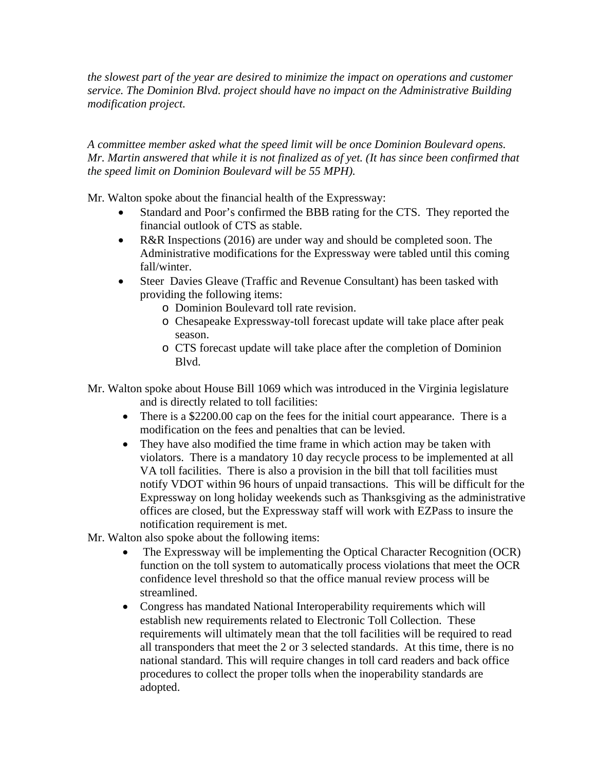*the slowest part of the year are desired to minimize the impact on operations and customer service. The Dominion Blvd. project should have no impact on the Administrative Building modification project.* 

*A committee member asked what the speed limit will be once Dominion Boulevard opens. Mr. Martin answered that while it is not finalized as of yet. (It has since been confirmed that the speed limit on Dominion Boulevard will be 55 MPH).* 

Mr. Walton spoke about the financial health of the Expressway:

- Standard and Poor's confirmed the BBB rating for the CTS. They reported the financial outlook of CTS as stable.
- R&R Inspections (2016) are under way and should be completed soon. The Administrative modifications for the Expressway were tabled until this coming fall/winter.
- Steer Davies Gleave (Traffic and Revenue Consultant) has been tasked with providing the following items:
	- o Dominion Boulevard toll rate revision.
	- o Chesapeake Expressway-toll forecast update will take place after peak season.
	- o CTS forecast update will take place after the completion of Dominion Blvd.
- Mr. Walton spoke about House Bill 1069 which was introduced in the Virginia legislature and is directly related to toll facilities:
	- There is a \$2200.00 cap on the fees for the initial court appearance. There is a modification on the fees and penalties that can be levied.
	- They have also modified the time frame in which action may be taken with violators. There is a mandatory 10 day recycle process to be implemented at all VA toll facilities. There is also a provision in the bill that toll facilities must notify VDOT within 96 hours of unpaid transactions. This will be difficult for the Expressway on long holiday weekends such as Thanksgiving as the administrative offices are closed, but the Expressway staff will work with EZPass to insure the notification requirement is met.

Mr. Walton also spoke about the following items:

- The Expressway will be implementing the Optical Character Recognition (OCR) function on the toll system to automatically process violations that meet the OCR confidence level threshold so that the office manual review process will be streamlined.
- Congress has mandated National Interoperability requirements which will establish new requirements related to Electronic Toll Collection. These requirements will ultimately mean that the toll facilities will be required to read all transponders that meet the 2 or 3 selected standards. At this time, there is no national standard. This will require changes in toll card readers and back office procedures to collect the proper tolls when the inoperability standards are adopted.